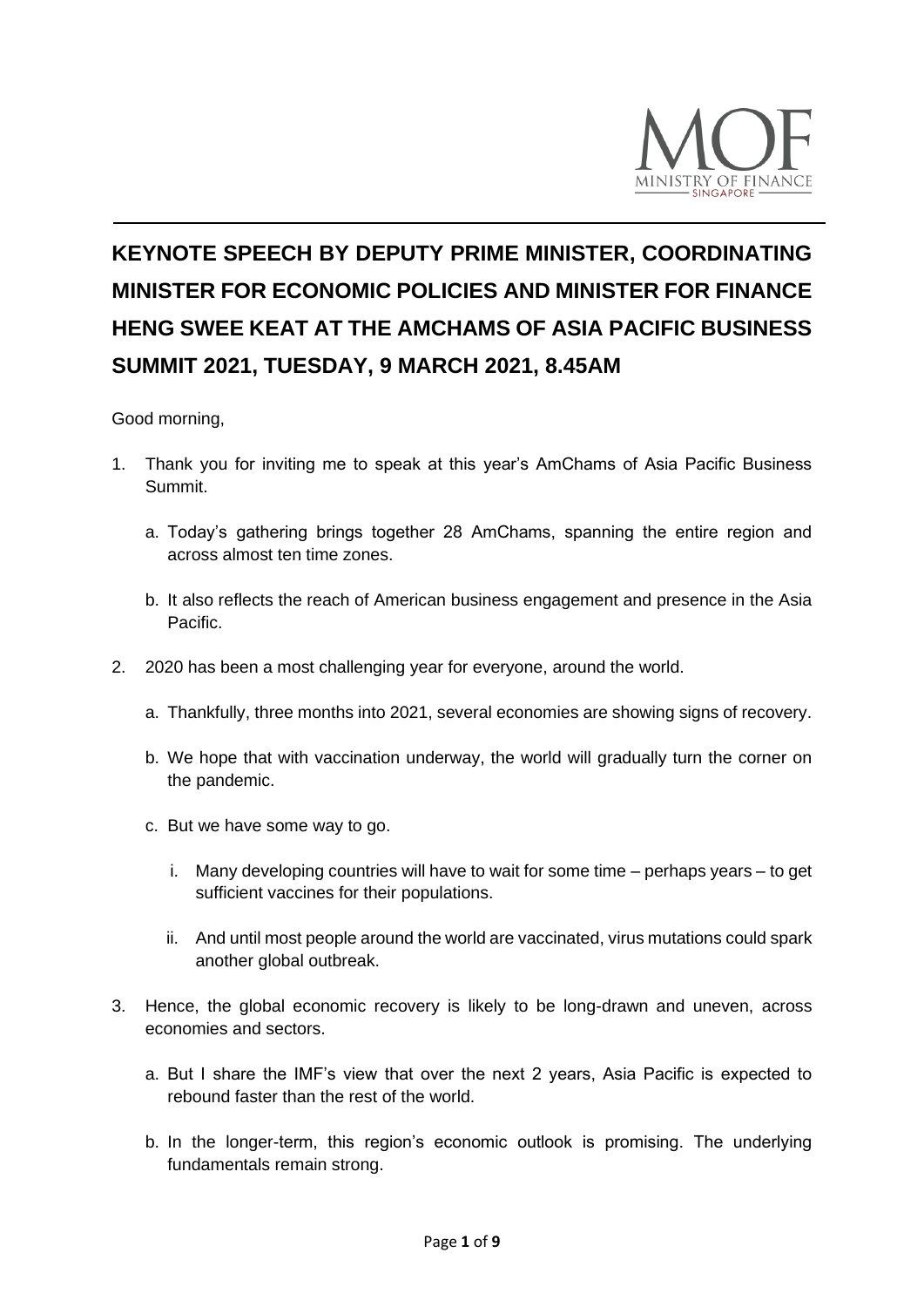

# **KEYNOTE SPEECH BY DEPUTY PRIME MINISTER, COORDINATING MINISTER FOR ECONOMIC POLICIES AND MINISTER FOR FINANCE HENG SWEE KEAT AT THE AMCHAMS OF ASIA PACIFIC BUSINESS SUMMIT 2021, TUESDAY, 9 MARCH 2021, 8.45AM**

Good morning,

- 1. Thank you for inviting me to speak at this year's AmChams of Asia Pacific Business Summit.
	- a. Today's gathering brings together 28 AmChams, spanning the entire region and across almost ten time zones.
	- b. It also reflects the reach of American business engagement and presence in the Asia Pacific.
- 2. 2020 has been a most challenging year for everyone, around the world.
	- a. Thankfully, three months into 2021, several economies are showing signs of recovery.
	- b. We hope that with vaccination underway, the world will gradually turn the corner on the pandemic.
	- c. But we have some way to go.
		- i. Many developing countries will have to wait for some time perhaps years to get sufficient vaccines for their populations.
		- ii. And until most people around the world are vaccinated, virus mutations could spark another global outbreak.
- 3. Hence, the global economic recovery is likely to be long-drawn and uneven, across economies and sectors.
	- a. But I share the IMF's view that over the next 2 years, Asia Pacific is expected to rebound faster than the rest of the world.
	- b. In the longer-term, this region's economic outlook is promising. The underlying fundamentals remain strong.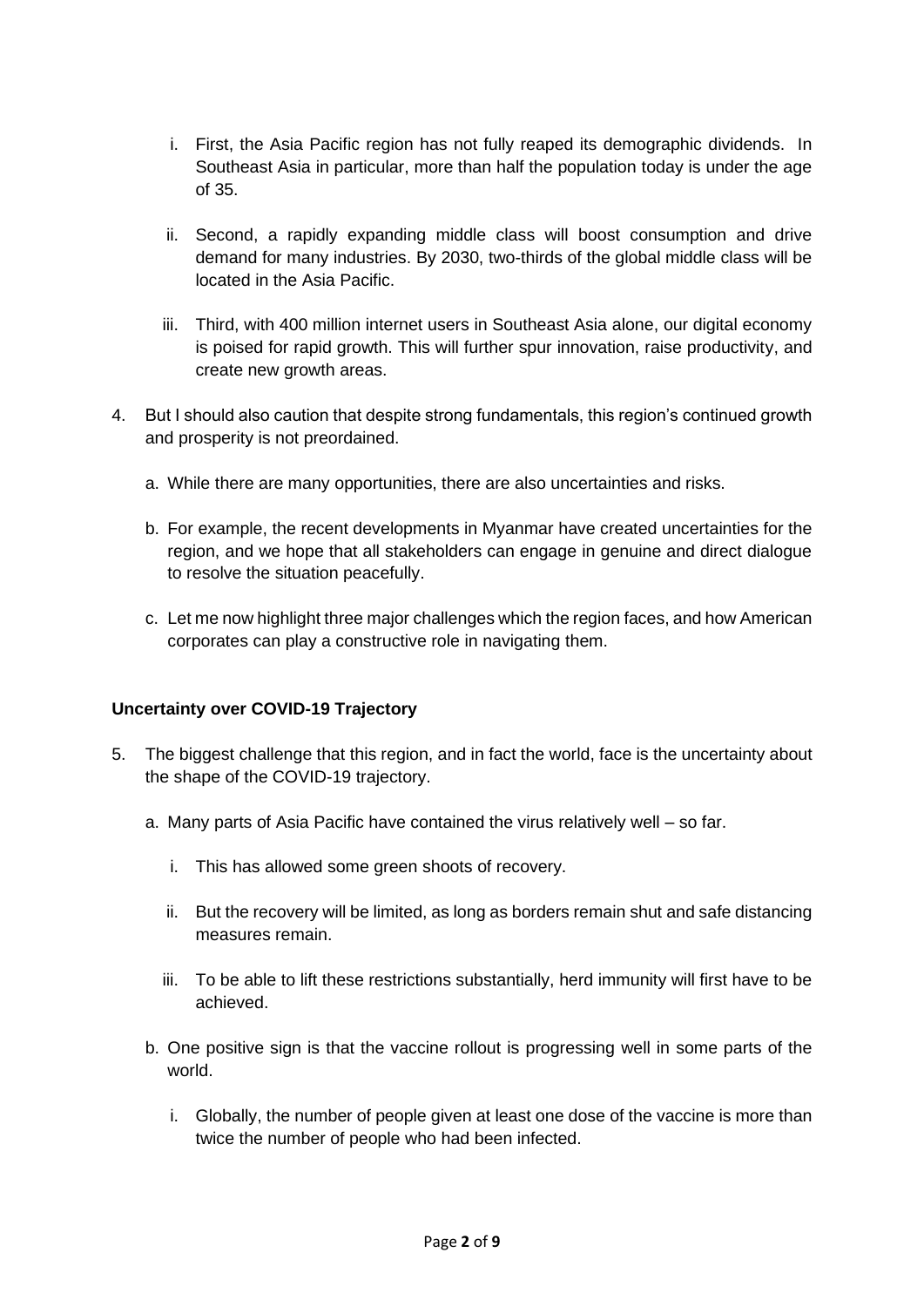- i. First, the Asia Pacific region has not fully reaped its demographic dividends. In Southeast Asia in particular, more than half the population today is under the age of 35.
- ii. Second, a rapidly expanding middle class will boost consumption and drive demand for many industries. By 2030, two-thirds of the global middle class will be located in the Asia Pacific.
- iii. Third, with 400 million internet users in Southeast Asia alone, our digital economy is poised for rapid growth. This will further spur innovation, raise productivity, and create new growth areas.
- 4. But I should also caution that despite strong fundamentals, this region's continued growth and prosperity is not preordained.
	- a. While there are many opportunities, there are also uncertainties and risks.
	- b. For example, the recent developments in Myanmar have created uncertainties for the region, and we hope that all stakeholders can engage in genuine and direct dialogue to resolve the situation peacefully.
	- c. Let me now highlight three major challenges which the region faces, and how American corporates can play a constructive role in navigating them.

### **Uncertainty over COVID-19 Trajectory**

- 5. The biggest challenge that this region, and in fact the world, face is the uncertainty about the shape of the COVID-19 trajectory.
	- a. Many parts of Asia Pacific have contained the virus relatively well so far.
		- i. This has allowed some green shoots of recovery.
		- ii. But the recovery will be limited, as long as borders remain shut and safe distancing measures remain.
		- iii. To be able to lift these restrictions substantially, herd immunity will first have to be achieved.
	- b. One positive sign is that the vaccine rollout is progressing well in some parts of the world.
		- i. Globally, the number of people given at least one dose of the vaccine is more than twice the number of people who had been infected.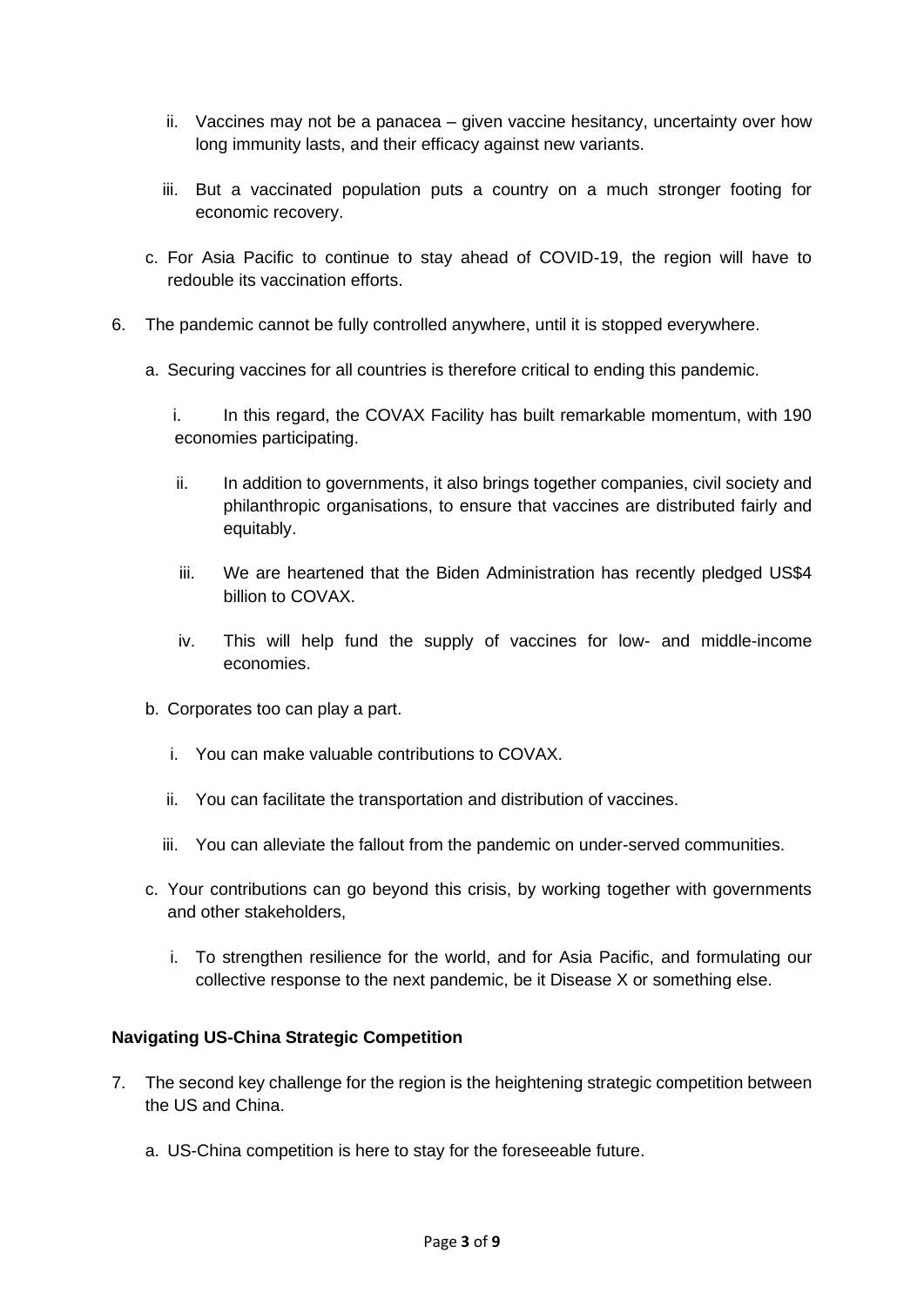- ii. Vaccines may not be a panacea given vaccine hesitancy, uncertainty over how long immunity lasts, and their efficacy against new variants.
- iii. But a vaccinated population puts a country on a much stronger footing for economic recovery.
- c. For Asia Pacific to continue to stay ahead of COVID-19, the region will have to redouble its vaccination efforts.
- 6. The pandemic cannot be fully controlled anywhere, until it is stopped everywhere.
	- a. Securing vaccines for all countries is therefore critical to ending this pandemic.
		- i. In this regard, the COVAX Facility has built remarkable momentum, with 190 economies participating.
		- ii. In addition to governments, it also brings together companies, civil society and philanthropic organisations, to ensure that vaccines are distributed fairly and equitably.
		- iii. We are heartened that the Biden Administration has recently pledged US\$4 billion to COVAX.
		- iv. This will help fund the supply of vaccines for low- and middle-income economies.
	- b. Corporates too can play a part.
		- i. You can make valuable contributions to COVAX.
		- ii. You can facilitate the transportation and distribution of vaccines.
		- iii. You can alleviate the fallout from the pandemic on under-served communities.
	- c. Your contributions can go beyond this crisis, by working together with governments and other stakeholders,
		- i. To strengthen resilience for the world, and for Asia Pacific, and formulating our collective response to the next pandemic, be it Disease X or something else.

### **Navigating US-China Strategic Competition**

- 7. The second key challenge for the region is the heightening strategic competition between the US and China.
	- a. US-China competition is here to stay for the foreseeable future.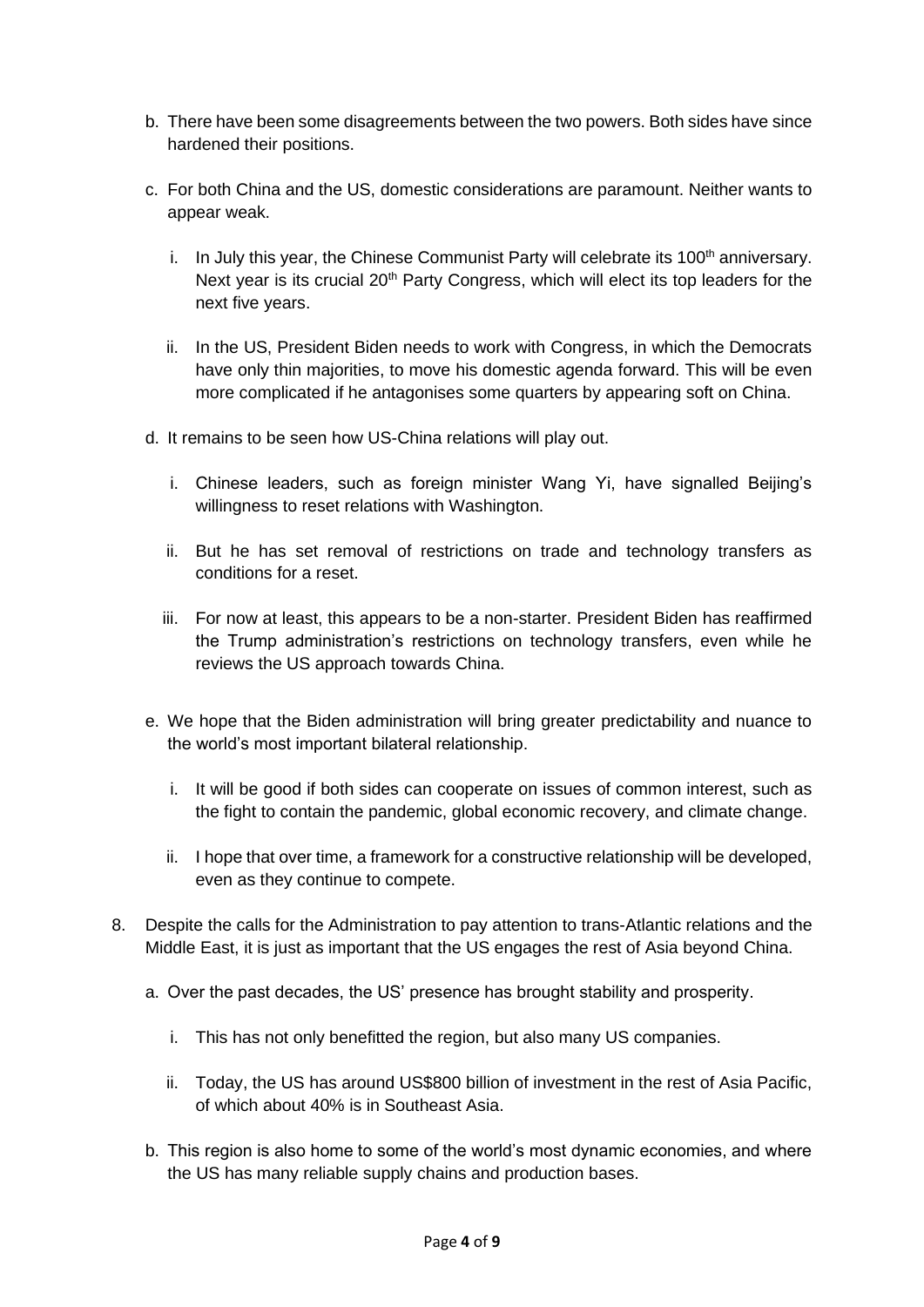- b. There have been some disagreements between the two powers. Both sides have since hardened their positions.
- c. For both China and the US, domestic considerations are paramount. Neither wants to appear weak.
	- i. In July this year, the Chinese Communist Party will celebrate its  $100<sup>th</sup>$  anniversary. Next year is its crucial 20<sup>th</sup> Party Congress, which will elect its top leaders for the next five years.
	- ii. In the US, President Biden needs to work with Congress, in which the Democrats have only thin majorities, to move his domestic agenda forward. This will be even more complicated if he antagonises some quarters by appearing soft on China.
- d. It remains to be seen how US-China relations will play out.
	- i. Chinese leaders, such as foreign minister Wang Yi, have signalled Beijing's willingness to reset relations with Washington.
	- ii. But he has set removal of restrictions on trade and technology transfers as conditions for a reset.
	- iii. For now at least, this appears to be a non-starter. President Biden has reaffirmed the Trump administration's restrictions on technology transfers, even while he reviews the US approach towards China.
- e. We hope that the Biden administration will bring greater predictability and nuance to the world's most important bilateral relationship.
	- i. It will be good if both sides can cooperate on issues of common interest, such as the fight to contain the pandemic, global economic recovery, and climate change.
	- ii. I hope that over time, a framework for a constructive relationship will be developed, even as they continue to compete.
- 8. Despite the calls for the Administration to pay attention to trans-Atlantic relations and the Middle East, it is just as important that the US engages the rest of Asia beyond China.
	- a. Over the past decades, the US' presence has brought stability and prosperity.
		- i. This has not only benefitted the region, but also many US companies.
		- ii. Today, the US has around US\$800 billion of investment in the rest of Asia Pacific, of which about 40% is in Southeast Asia.
	- b. This region is also home to some of the world's most dynamic economies, and where the US has many reliable supply chains and production bases.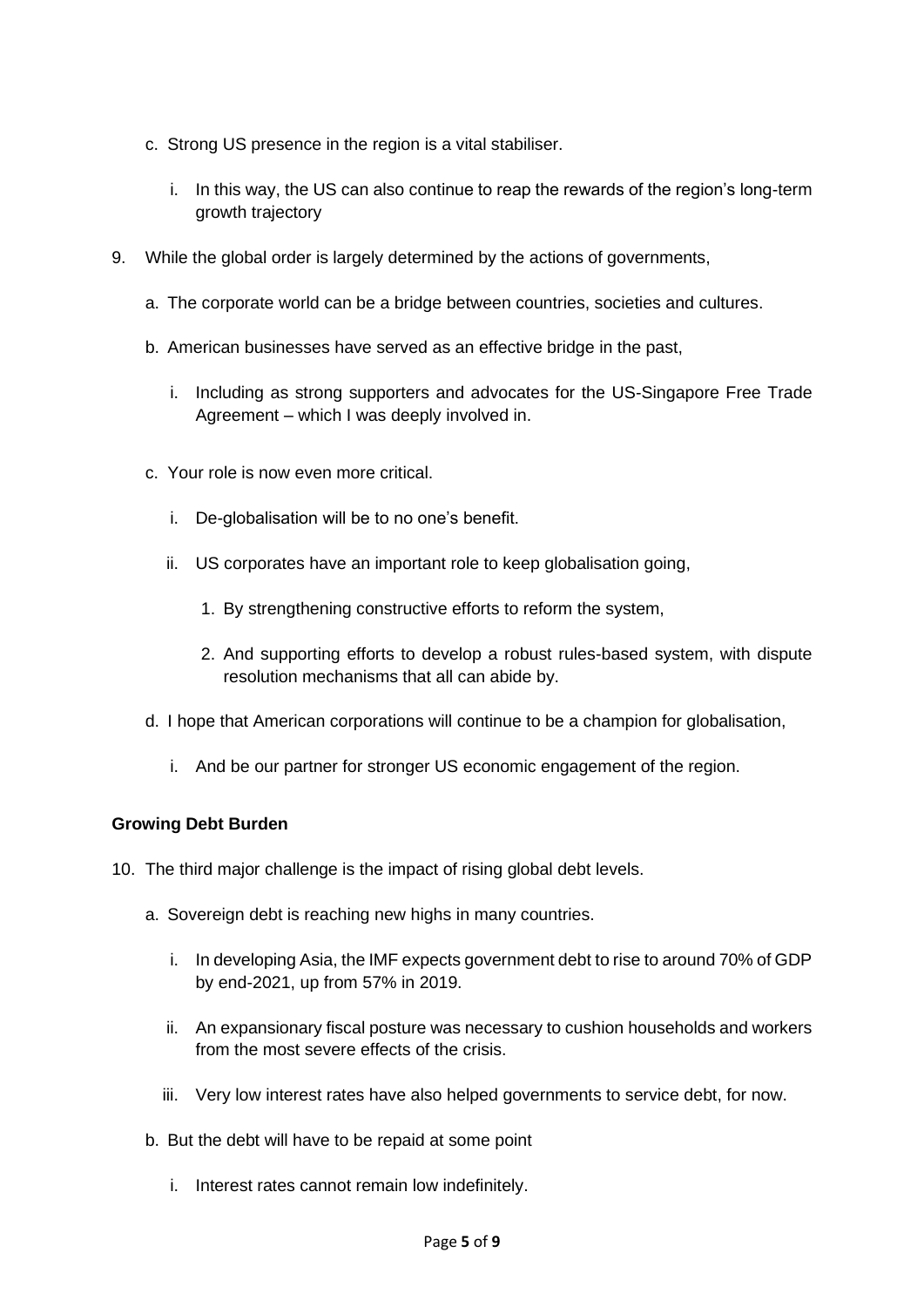- c. Strong US presence in the region is a vital stabiliser.
	- i. In this way, the US can also continue to reap the rewards of the region's long-term growth trajectory
- 9. While the global order is largely determined by the actions of governments,
	- a. The corporate world can be a bridge between countries, societies and cultures.
	- b. American businesses have served as an effective bridge in the past,
		- i. Including as strong supporters and advocates for the US-Singapore Free Trade Agreement – which I was deeply involved in.
	- c. Your role is now even more critical.
		- i. De-globalisation will be to no one's benefit.
		- ii. US corporates have an important role to keep globalisation going,
			- 1. By strengthening constructive efforts to reform the system,
			- 2. And supporting efforts to develop a robust rules-based system, with dispute resolution mechanisms that all can abide by.
	- d. I hope that American corporations will continue to be a champion for globalisation,
		- i. And be our partner for stronger US economic engagement of the region.

### **Growing Debt Burden**

- 10. The third major challenge is the impact of rising global debt levels.
	- a. Sovereign debt is reaching new highs in many countries.
		- i. In developing Asia, the IMF expects government debt to rise to around 70% of GDP by end-2021, up from 57% in 2019.
		- ii. An expansionary fiscal posture was necessary to cushion households and workers from the most severe effects of the crisis.
		- iii. Very low interest rates have also helped governments to service debt, for now.
	- b. But the debt will have to be repaid at some point
		- i. Interest rates cannot remain low indefinitely.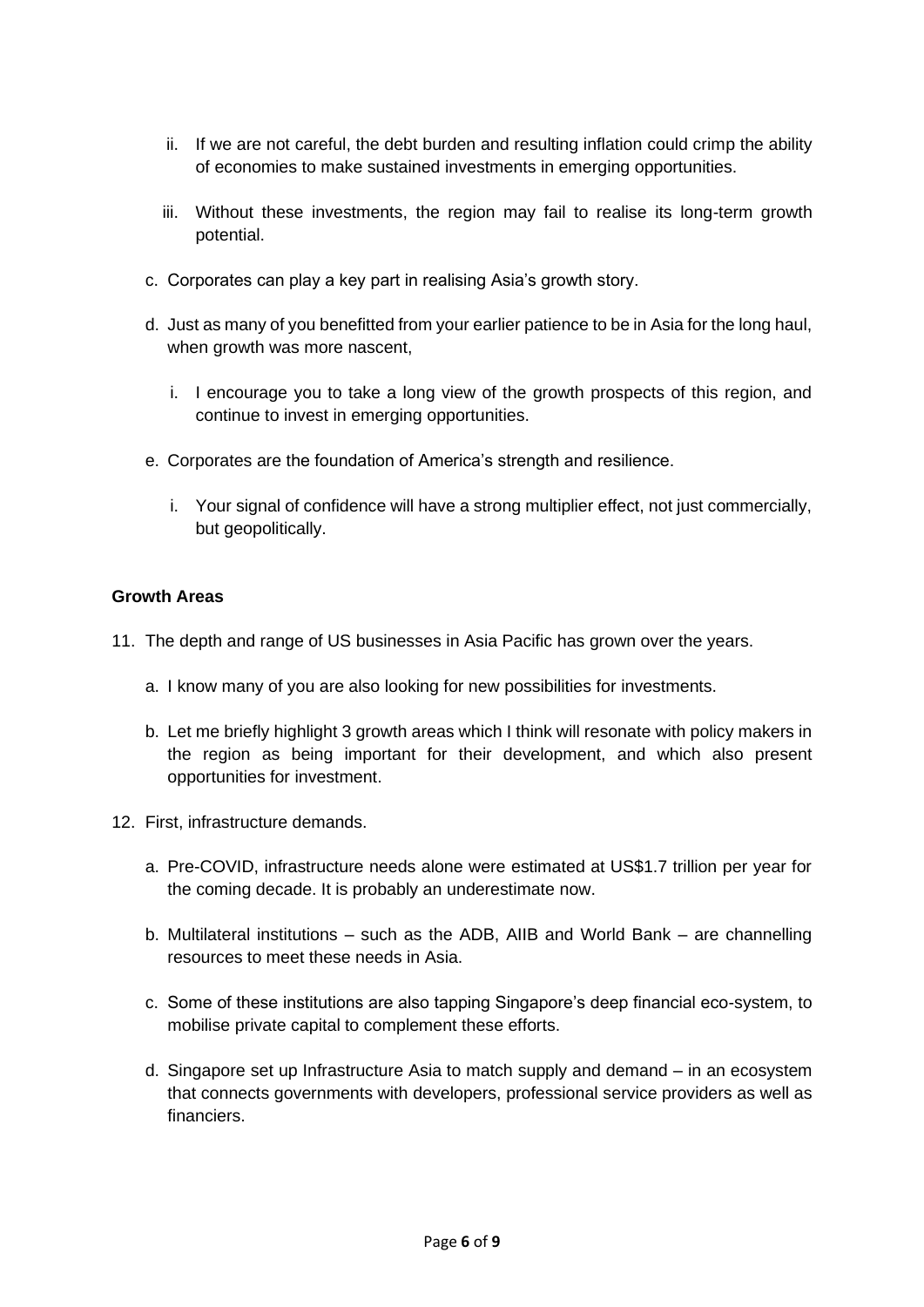- ii. If we are not careful, the debt burden and resulting inflation could crimp the ability of economies to make sustained investments in emerging opportunities.
- iii. Without these investments, the region may fail to realise its long-term growth potential.
- c. Corporates can play a key part in realising Asia's growth story.
- d. Just as many of you benefitted from your earlier patience to be in Asia for the long haul, when growth was more nascent,
	- i. I encourage you to take a long view of the growth prospects of this region, and continue to invest in emerging opportunities.
- e. Corporates are the foundation of America's strength and resilience.
	- i. Your signal of confidence will have a strong multiplier effect, not just commercially, but geopolitically.

## **Growth Areas**

- 11. The depth and range of US businesses in Asia Pacific has grown over the years.
	- a. I know many of you are also looking for new possibilities for investments.
	- b. Let me briefly highlight 3 growth areas which I think will resonate with policy makers in the region as being important for their development, and which also present opportunities for investment.
- 12. First, infrastructure demands.
	- a. Pre-COVID, infrastructure needs alone were estimated at US\$1.7 trillion per year for the coming decade. It is probably an underestimate now.
	- b. Multilateral institutions such as the ADB, AIIB and World Bank are channelling resources to meet these needs in Asia.
	- c. Some of these institutions are also tapping Singapore's deep financial eco-system, to mobilise private capital to complement these efforts.
	- d. Singapore set up Infrastructure Asia to match supply and demand in an ecosystem that connects governments with developers, professional service providers as well as financiers.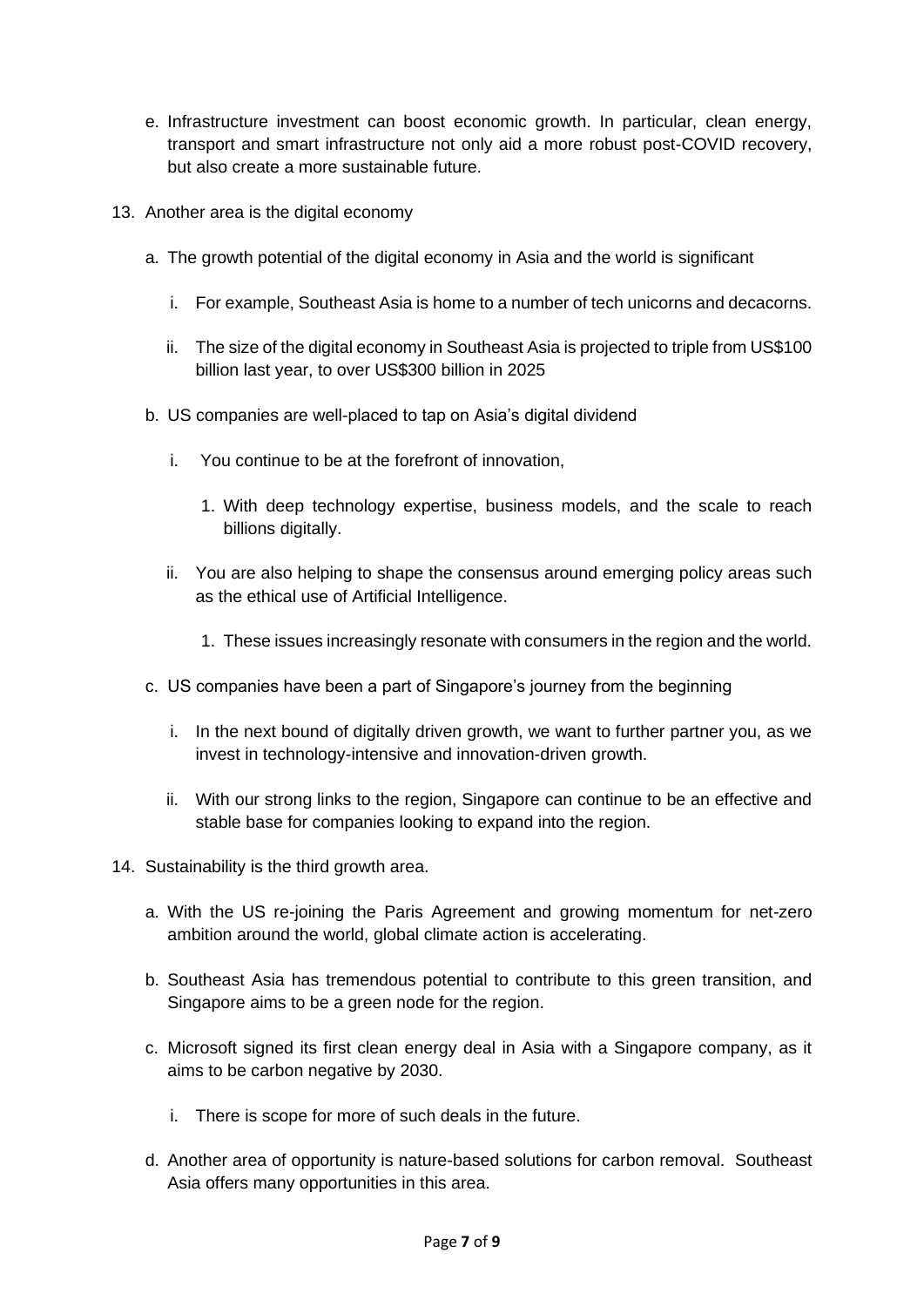- e. Infrastructure investment can boost economic growth. In particular, clean energy, transport and smart infrastructure not only aid a more robust post-COVID recovery, but also create a more sustainable future.
- 13. Another area is the digital economy
	- a. The growth potential of the digital economy in Asia and the world is significant
		- i. For example, Southeast Asia is home to a number of tech unicorns and decacorns.
		- ii. The size of the digital economy in Southeast Asia is projected to triple from US\$100 billion last year, to over US\$300 billion in 2025
	- b. US companies are well-placed to tap on Asia's digital dividend
		- i. You continue to be at the forefront of innovation,
			- 1. With deep technology expertise, business models, and the scale to reach billions digitally.
		- ii. You are also helping to shape the consensus around emerging policy areas such as the ethical use of Artificial Intelligence.
			- 1. These issues increasingly resonate with consumers in the region and the world.
	- c. US companies have been a part of Singapore's journey from the beginning
		- i. In the next bound of digitally driven growth, we want to further partner you, as we invest in technology-intensive and innovation-driven growth.
		- ii. With our strong links to the region, Singapore can continue to be an effective and stable base for companies looking to expand into the region.
- 14. Sustainability is the third growth area.
	- a. With the US re-joining the Paris Agreement and growing momentum for net-zero ambition around the world, global climate action is accelerating.
	- b. Southeast Asia has tremendous potential to contribute to this green transition, and Singapore aims to be a green node for the region.
	- c. Microsoft signed its first clean energy deal in Asia with a Singapore company, as it aims to be carbon negative by 2030.
		- i. There is scope for more of such deals in the future.
	- d. Another area of opportunity is nature-based solutions for carbon removal. Southeast Asia offers many opportunities in this area.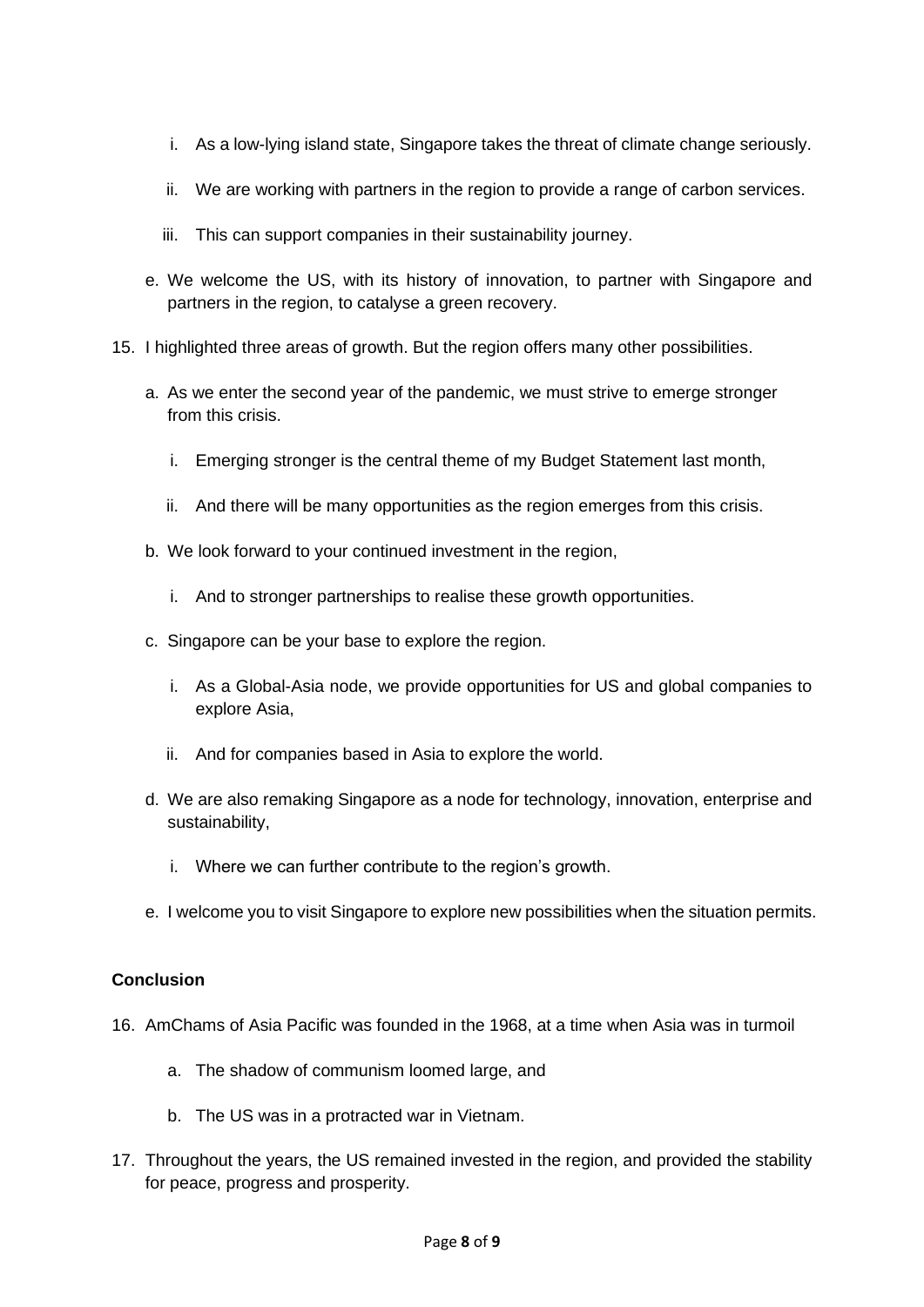- i. As a low-lying island state, Singapore takes the threat of climate change seriously.
- ii. We are working with partners in the region to provide a range of carbon services.
- iii. This can support companies in their sustainability journey.
- e. We welcome the US, with its history of innovation, to partner with Singapore and partners in the region, to catalyse a green recovery.
- 15. I highlighted three areas of growth. But the region offers many other possibilities.
	- a. As we enter the second year of the pandemic, we must strive to emerge stronger from this crisis.
		- i. Emerging stronger is the central theme of my Budget Statement last month,
		- ii. And there will be many opportunities as the region emerges from this crisis.
	- b. We look forward to your continued investment in the region,
		- i. And to stronger partnerships to realise these growth opportunities.
	- c. Singapore can be your base to explore the region.
		- i. As a Global-Asia node, we provide opportunities for US and global companies to explore Asia,
		- ii. And for companies based in Asia to explore the world.
	- d. We are also remaking Singapore as a node for technology, innovation, enterprise and sustainability,
		- i. Where we can further contribute to the region's growth.
	- e. I welcome you to visit Singapore to explore new possibilities when the situation permits.

### **Conclusion**

- 16. AmChams of Asia Pacific was founded in the 1968, at a time when Asia was in turmoil
	- a. The shadow of communism loomed large, and
	- b. The US was in a protracted war in Vietnam.
- 17. Throughout the years, the US remained invested in the region, and provided the stability for peace, progress and prosperity.